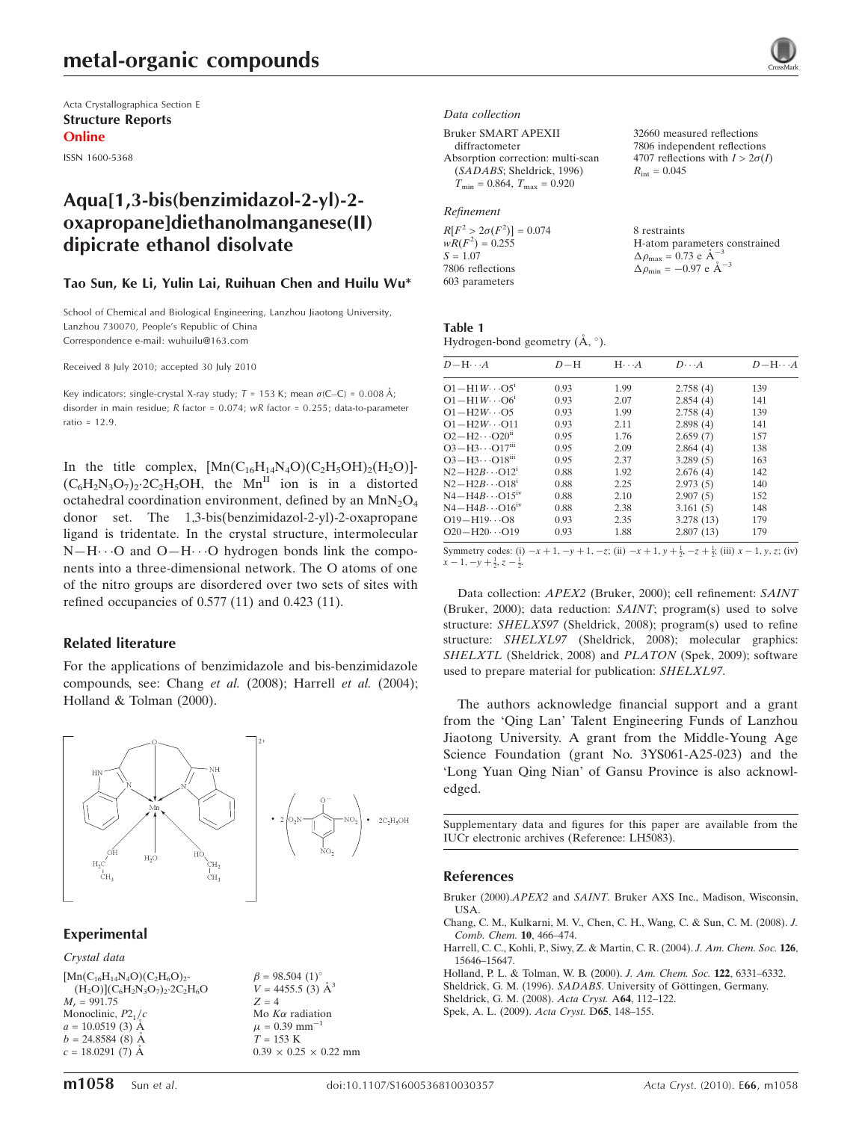Acta Crystallographica Section E Structure Reports Online

ISSN 1600-5368

# Aqua[1,3-bis(benzimidazol-2-yl)-2 oxapropane]diethanolmanganese(II) dipicrate ethanol disolvate

#### Tao Sun, Ke Li, Yulin Lai, Ruihuan Chen and Huilu Wu\*

School of Chemical and Biological Engineering, Lanzhou Jiaotong University, Lanzhou 730070, People's Republic of China Correspondence e-mail: wuhuilu@163.com

Received 8 July 2010; accepted 30 July 2010

Key indicators: single-crystal X-ray study;  $T = 153$  K; mean  $\sigma$ (C–C) = 0.008 Å; disorder in main residue;  $R$  factor = 0.074;  $wR$  factor = 0.255; data-to-parameter ratio = 12.9.

In the title complex,  $[Mn(C_{16}H_{14}N_4O)(C_2H_5OH)_2(H_2O)]$ - $(C_6H_2N_3O_7)_2$ .  $2C_2H_5OH$ , the Mn<sup>II</sup> ion is in a distorted octahedral coordination environment, defined by an  $MnN_2O_4$ donor set. The 1,3-bis(benzimidazol-2-yl)-2-oxapropane ligand is tridentate. In the crystal structure, intermolecular  $N-H\cdots$ O and  $O-H\cdots$ O hydrogen bonds link the components into a three-dimensional network. The O atoms of one of the nitro groups are disordered over two sets of sites with refined occupancies of 0.577 (11) and 0.423 (11).

#### Related literature

For the applications of benzimidazole and bis-benzimidazole compounds, see: Chang et al. (2008); Harrell et al. (2004); Holland & Tolman (2000).



#### Experimental

#### Crystal data

 $[Mn(C_{16}H_{14}N_4O)(C_2H_6O)_2$ - $(H_2O)(C_6H_2N_3O_7)_2.2C_2H_6O$  $M_r = 991.75$ Monoclinic,  $P2<sub>1</sub>/c$  $a = 10.0519(3)$  Å  $b = 24.8584(8)$  Å  $c = 18.0291(7)$  Å

 $\beta = 98.504$  (1)<sup>o</sup>  $V = 4455.5$  (3)  $\AA^3$  $Z = 4$ Mo  $K\alpha$  radiation  $\mu$  = 0.39 mm<sup>-</sup>  $T = 153 \text{ K}$  $0.39 \times 0.25 \times 0.22$  mm



#### Data collection

Bruker SMART APEXII

diffractometer Absorption correction: multi-scan (SADABS; Sheldrick, 1996)  $T_{\text{min}} = 0.864, T_{\text{max}} = 0.920$ 

#### Refinement

 $R[F^2 > 2\sigma(F^2)] = 0.074$  $wR(F^2) = 0.255$  $S = 1.07$ 7806 reflections 603 parameters

32660 measured reflections 7806 independent reflections 4707 reflections with  $I > 2\sigma(I)$  $R_{\text{int}} = 0.045$ 

8 restraints H-atom parameters constrained  $\Delta \rho_{\text{max}} = 0.73 \text{ e A}^{-3}$  $\Delta \rho_{\text{min}} = -0.97 \text{ e A}^{-3}$ 

#### Table 1 Hydrogen-bond geometry  $(\AA, \degree)$ .

|      | $H \cdot \cdot \cdot A$ | $D\cdots A$ | $D - H \cdots A$ |
|------|-------------------------|-------------|------------------|
| 0.93 | 1.99                    | 2.758(4)    | 139              |
| 0.93 | 2.07                    | 2.854(4)    | 141              |
| 0.93 | 1.99                    | 2.758(4)    | 139              |
| 0.93 | 2.11                    | 2.898(4)    | 141              |
| 0.95 | 1.76                    | 2.659(7)    | 157              |
| 0.95 | 2.09                    | 2.864(4)    | 138              |
| 0.95 | 2.37                    | 3.289(5)    | 163              |
| 0.88 | 1.92                    | 2.676(4)    | 142              |
| 0.88 | 2.25                    | 2.973(5)    | 140              |
| 0.88 | 2.10                    | 2.907(5)    | 152              |
| 0.88 | 2.38                    | 3.161(5)    | 148              |
| 0.93 | 2.35                    | 3.278(13)   | 179              |
| 0.93 | 1.88                    | 2.807(13)   | 179              |
|      |                         |             |                  |

Symmetry codes: (i)  $-x + 1$ ,  $-y + 1$ ,  $-z$ ; (ii)  $-x + 1$ ,  $y + \frac{1}{2}$ ,  $-z + \frac{1}{2}$ ; (iii)  $x - 1$ ,  $y$ ,  $z$ ; (iv)  $x-1, -y+\frac{1}{2}, z-\frac{1}{2}$ 

Data collection: APEX2 (Bruker, 2000); cell refinement: SAINT (Bruker, 2000); data reduction: SAINT; program(s) used to solve structure: SHELXS97 (Sheldrick, 2008); program(s) used to refine structure: SHELXL97 (Sheldrick, 2008); molecular graphics: SHELXTL (Sheldrick, 2008) and PLATON (Spek, 2009); software used to prepare material for publication: SHELXL97.

The authors acknowledge financial support and a grant from the 'Qing Lan' Talent Engineering Funds of Lanzhou Jiaotong University. A grant from the Middle-Young Age Science Foundation (grant No. 3YS061-A25-023) and the 'Long Yuan Qing Nian' of Gansu Province is also acknowledged.

Supplementary data and figures for this paper are available from the IUCr electronic archives (Reference: LH5083).

#### References

- Bruker (2000).APEX2 and SAINT[. Bruker AXS Inc., Madison, Wisconsin,](https://scripts.iucr.org/cgi-bin/cr.cgi?rm=pdfbb&cnor=lh5083&bbid=BB1) [USA.](https://scripts.iucr.org/cgi-bin/cr.cgi?rm=pdfbb&cnor=lh5083&bbid=BB1)
- [Chang, C. M., Kulkarni, M. V., Chen, C. H., Wang, C. & Sun, C. M. \(2008\).](https://scripts.iucr.org/cgi-bin/cr.cgi?rm=pdfbb&cnor=lh5083&bbid=BB2) J. [Comb. Chem.](https://scripts.iucr.org/cgi-bin/cr.cgi?rm=pdfbb&cnor=lh5083&bbid=BB2) 10, 466–474.
- [Harrell, C. C., Kohli, P., Siwy, Z. & Martin, C. R. \(2004\).](https://scripts.iucr.org/cgi-bin/cr.cgi?rm=pdfbb&cnor=lh5083&bbid=BB3) J. Am. Chem. Soc. 126, [15646–15647.](https://scripts.iucr.org/cgi-bin/cr.cgi?rm=pdfbb&cnor=lh5083&bbid=BB3)
- [Holland, P. L. & Tolman, W. B. \(2000\).](https://scripts.iucr.org/cgi-bin/cr.cgi?rm=pdfbb&cnor=lh5083&bbid=BB4) J. Am. Chem. Soc. 122, 6331–6332.
- Sheldrick, G. M. (1996). SADABS. University of Göttingen, Germany.
- [Sheldrick, G. M. \(2008\).](https://scripts.iucr.org/cgi-bin/cr.cgi?rm=pdfbb&cnor=lh5083&bbid=BB6) Acta Cryst. A64, 112–122.
- [Spek, A. L. \(2009\).](https://scripts.iucr.org/cgi-bin/cr.cgi?rm=pdfbb&cnor=lh5083&bbid=BB7) Acta Cryst. D65, 148–155.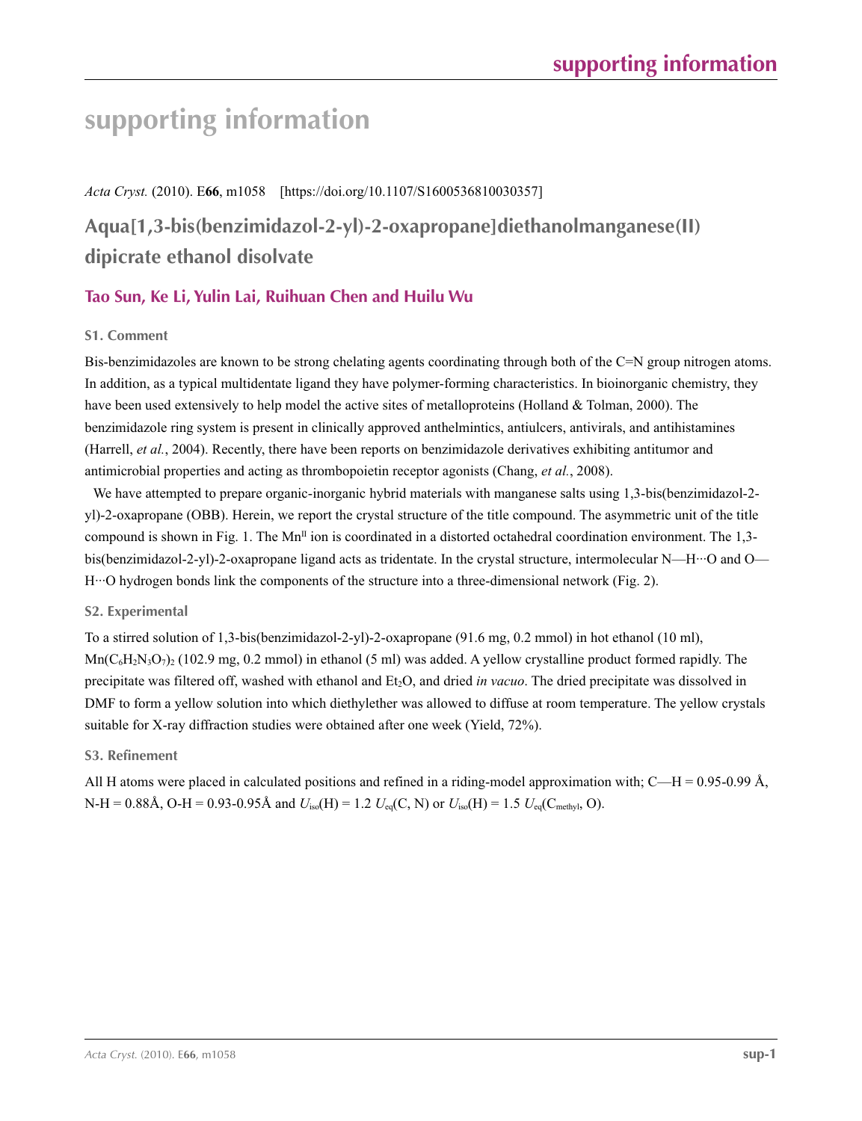### *Acta Cryst.* (2010). E**66**, m1058 [https://doi.org/10.1107/S1600536810030357]

# **Aqua[1,3-bis(benzimidazol-2-yl)-2-oxapropane]diethanolmanganese(II) dipicrate ethanol disolvate**

# **Tao Sun, Ke Li, Yulin Lai, Ruihuan Chen and Huilu Wu**

## **S1. Comment**

Bis-benzimidazoles are known to be strong chelating agents coordinating through both of the C=N group nitrogen atoms. In addition, as a typical multidentate ligand they have polymer-forming characteristics. In bioinorganic chemistry, they have been used extensively to help model the active sites of metalloproteins (Holland & Tolman, 2000). The benzimidazole ring system is present in clinically approved anthelmintics, antiulcers, antivirals, and antihistamines (Harrell, *et al.*, 2004). Recently, there have been reports on benzimidazole derivatives exhibiting antitumor and antimicrobial properties and acting as thrombopoietin receptor agonists (Chang, *et al.*, 2008).

We have attempted to prepare organic-inorganic hybrid materials with manganese salts using 1,3-bis(benzimidazol-2yl)-2-oxapropane (OBB). Herein, we report the crystal structure of the title compound. The asymmetric unit of the title compound is shown in Fig. 1. The  $Mn^{\text{II}}$  ion is coordinated in a distorted octahedral coordination environment. The 1,3bis(benzimidazol-2-yl)-2-oxapropane ligand acts as tridentate. In the crystal structure, intermolecular N—H···O and O— H···O hydrogen bonds link the components of the structure into a three-dimensional network (Fig. 2).

## **S2. Experimental**

To a stirred solution of 1,3-bis(benzimidazol-2-yl)-2-oxapropane (91.6 mg, 0.2 mmol) in hot ethanol (10 ml),  $Mn(C_6H_2N_3O_7)$  (102.9 mg, 0.2 mmol) in ethanol (5 ml) was added. A yellow crystalline product formed rapidly. The precipitate was filtered off, washed with ethanol and Et<sub>2</sub>O, and dried *in vacuo*. The dried precipitate was dissolved in DMF to form a yellow solution into which diethylether was allowed to diffuse at room temperature. The yellow crystals suitable for X-ray diffraction studies were obtained after one week (Yield, 72%).

## **S3. Refinement**

All H atoms were placed in calculated positions and refined in a riding-model approximation with;  $C-H = 0.95-0.99$  Å,  $N-H = 0.88$ Å,  $O-H = 0.93-0.95$ Å and  $U_{iso}(H) = 1.2$   $U_{eq}(C, N)$  or  $U_{iso}(H) = 1.5$   $U_{eq}(C_{methyl}, O)$ .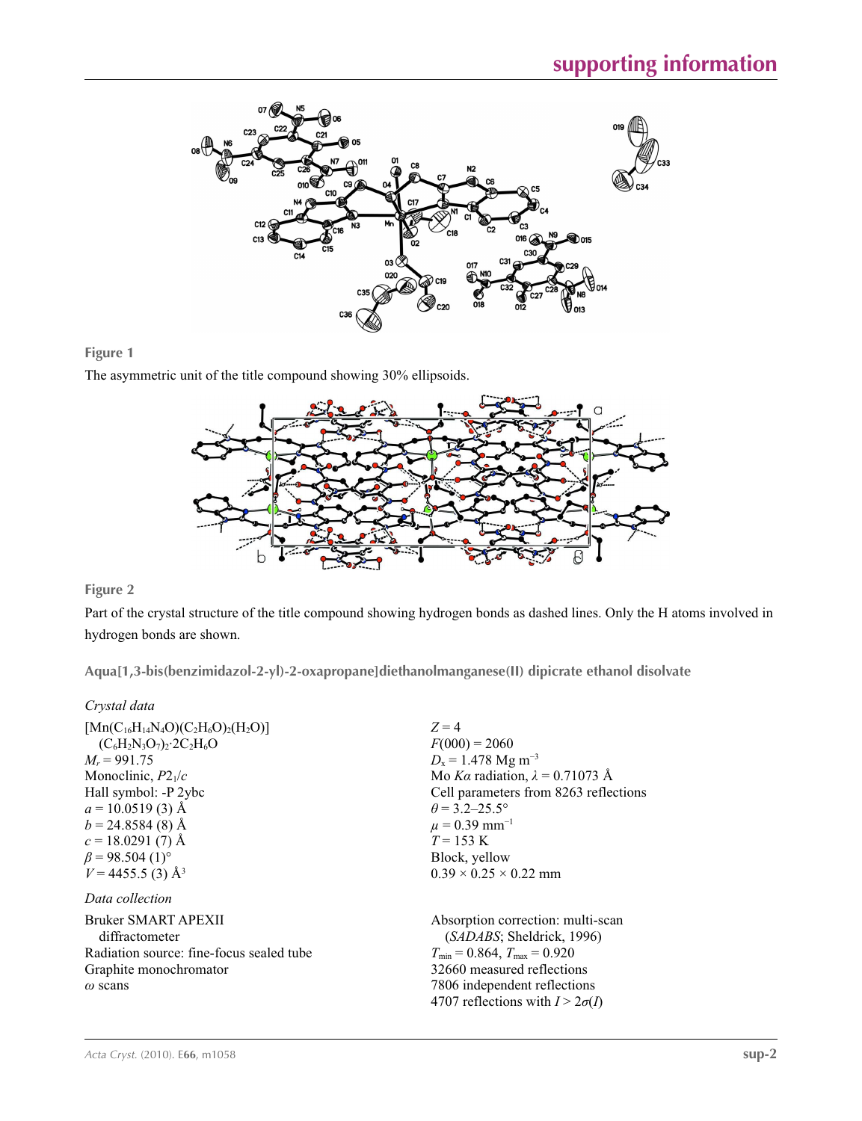

### **Figure 1**

The asymmetric unit of the title compound showing 30% ellipsoids.



# **Figure 2**

Part of the crystal structure of the title compound showing hydrogen bonds as dashed lines. Only the H atoms involved in hydrogen bonds are shown.

**Aqua[1,3-bis(benzimidazol-2-yl)-2-oxapropane]diethanolmanganese(II) dipicrate ethanol disolvate** 

# *Crystal data*

| $[{\rm Mn}(C_{16}H_{14}N_4O)(C_2H_6O)_2(H_2O)]$<br>$(C_6H_2N_3O_7)_2$ 2C <sub>2</sub> H <sub>6</sub> O<br>$M_r = 991.75$<br>Monoclinic, $P2_1/c$<br>Hall symbol: -P 2ybc<br>$a = 10.0519(3)$ Å<br>$b = 24.8584(8)$ Å<br>$c = 18.0291(7)$ Å<br>$\beta$ = 98.504 (1) <sup>o</sup> | $Z=4$<br>$F(000) = 2060$<br>$D_x = 1.478$ Mg m <sup>-3</sup><br>Mo Ka radiation, $\lambda = 0.71073$ Å<br>Cell parameters from 8263 reflections<br>$\theta$ = 3.2–25.5°<br>$\mu$ = 0.39 mm <sup>-1</sup><br>$T = 153 \text{ K}$<br>Block, yellow |
|---------------------------------------------------------------------------------------------------------------------------------------------------------------------------------------------------------------------------------------------------------------------------------|--------------------------------------------------------------------------------------------------------------------------------------------------------------------------------------------------------------------------------------------------|
| $V = 4455.5$ (3) Å <sup>3</sup>                                                                                                                                                                                                                                                 | $0.39 \times 0.25 \times 0.22$ mm                                                                                                                                                                                                                |
| Data collection                                                                                                                                                                                                                                                                 |                                                                                                                                                                                                                                                  |
| Bruker SMART APEXII<br>diffractometer<br>Radiation source: fine-focus sealed tube                                                                                                                                                                                               | Absorption correction: multi-scan<br>(SADABS; Sheldrick, 1996)<br>$T_{\min} = 0.864$ , $T_{\max} = 0.920$                                                                                                                                        |
| Graphite monochromator                                                                                                                                                                                                                                                          | 32660 measured reflections                                                                                                                                                                                                                       |
| $\omega$ scans                                                                                                                                                                                                                                                                  | 7806 independent reflections<br>4707 reflections with $I > 2\sigma(I)$                                                                                                                                                                           |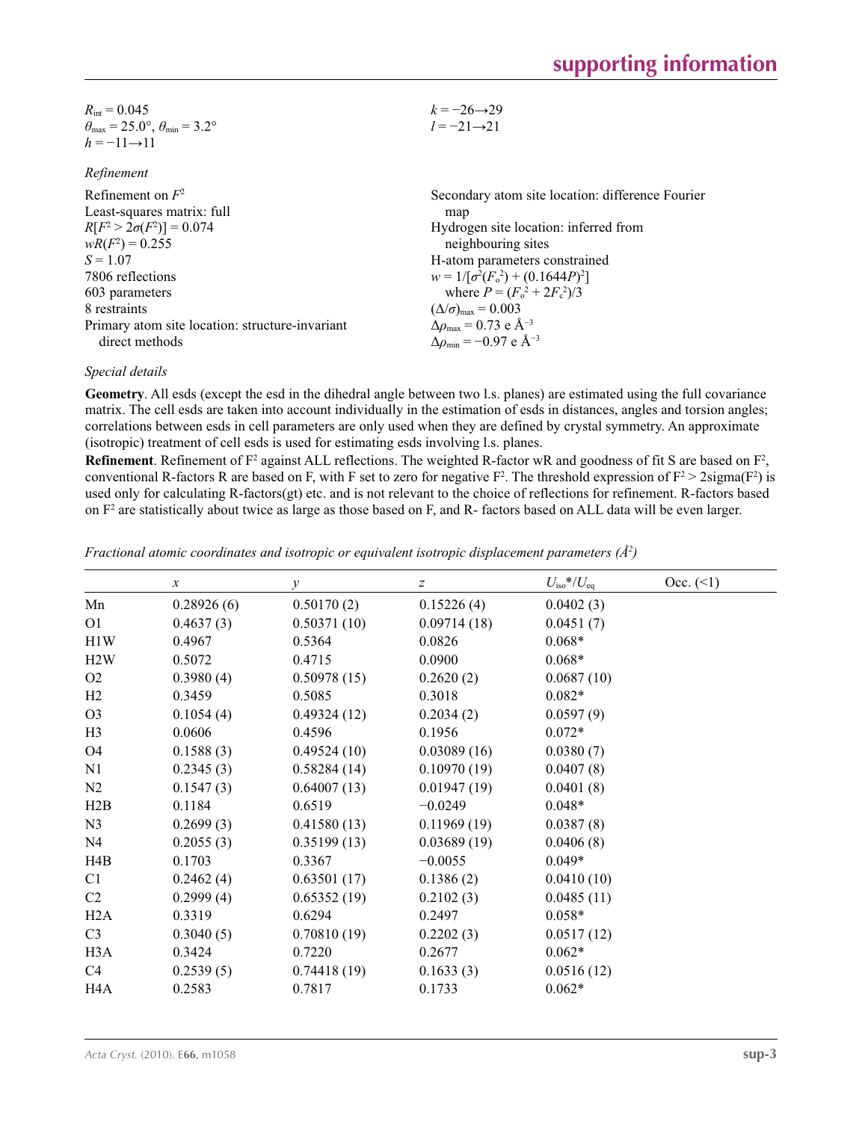| $R_{\text{int}} = 0.045$                                                | $k = -26 \rightarrow 29$ |
|-------------------------------------------------------------------------|--------------------------|
| $\theta_{\text{max}} = 25.0^{\circ}, \theta_{\text{min}} = 3.2^{\circ}$ | $l = -21 \rightarrow 21$ |
| $h = -11 \rightarrow 11$                                                |                          |

#### *Refinement*

| Refinement on $F^2$<br>Least-squares matrix: full | Secondary atom site location: difference Fourier<br>map      |
|---------------------------------------------------|--------------------------------------------------------------|
| $R[F^2 > 2\sigma(F^2)] = 0.074$                   | Hydrogen site location: inferred from                        |
| $wR(F^2) = 0.255$                                 | neighbouring sites                                           |
| $S = 1.07$                                        | H-atom parameters constrained                                |
| 7806 reflections                                  | $w = 1/[\sigma^2(F_0^2) + (0.1644P)^2]$                      |
| 603 parameters                                    | where $P = (F_0^2 + 2F_c^2)/3$                               |
| 8 restraints                                      | $(\Delta/\sigma)_{\text{max}} = 0.003$                       |
| Primary atom site location: structure invariant   | $\Delta \rho_{\text{max}} = 0.73 \text{ e } \text{\AA}^{-3}$ |
| direct methods                                    | $\Delta\rho_{\rm min} = -0.97$ e Å <sup>-3</sup>             |

### *Special details*

**Geometry**. All esds (except the esd in the dihedral angle between two l.s. planes) are estimated using the full covariance matrix. The cell esds are taken into account individually in the estimation of esds in distances, angles and torsion angles; correlations between esds in cell parameters are only used when they are defined by crystal symmetry. An approximate (isotropic) treatment of cell esds is used for estimating esds involving l.s. planes.

**Refinement**. Refinement of  $F^2$  against ALL reflections. The weighted R-factor wR and goodness of fit S are based on  $F^2$ , conventional R-factors R are based on F, with F set to zero for negative  $F^2$ . The threshold expression of  $F^2 > 2 \text{sigma}(F^2)$  is used only for calculating R-factors(gt) etc. and is not relevant to the choice of reflections for refinement. R-factors based on  $F<sup>2</sup>$  are statistically about twice as large as those based on F, and R- factors based on ALL data will be even larger.

|                  | $\mathcal{X}$ | $\mathcal{Y}$ | z           | $U_{\rm iso}*/U_{\rm eq}$ | Occ. (2) |
|------------------|---------------|---------------|-------------|---------------------------|----------|
| Mn               | 0.28926(6)    | 0.50170(2)    | 0.15226(4)  | 0.0402(3)                 |          |
| O <sub>1</sub>   | 0.4637(3)     | 0.50371(10)   | 0.09714(18) | 0.0451(7)                 |          |
| H1W              | 0.4967        | 0.5364        | 0.0826      | $0.068*$                  |          |
| H2W              | 0.5072        | 0.4715        | 0.0900      | $0.068*$                  |          |
| O <sub>2</sub>   | 0.3980(4)     | 0.50978(15)   | 0.2620(2)   | 0.0687(10)                |          |
| H2               | 0.3459        | 0.5085        | 0.3018      | $0.082*$                  |          |
| O <sub>3</sub>   | 0.1054(4)     | 0.49324(12)   | 0.2034(2)   | 0.0597(9)                 |          |
| H <sub>3</sub>   | 0.0606        | 0.4596        | 0.1956      | $0.072*$                  |          |
| O <sub>4</sub>   | 0.1588(3)     | 0.49524(10)   | 0.03089(16) | 0.0380(7)                 |          |
| N1               | 0.2345(3)     | 0.58284(14)   | 0.10970(19) | 0.0407(8)                 |          |
| N <sub>2</sub>   | 0.1547(3)     | 0.64007(13)   | 0.01947(19) | 0.0401(8)                 |          |
| H2B              | 0.1184        | 0.6519        | $-0.0249$   | $0.048*$                  |          |
| N <sub>3</sub>   | 0.2699(3)     | 0.41580(13)   | 0.11969(19) | 0.0387(8)                 |          |
| N4               | 0.2055(3)     | 0.35199(13)   | 0.03689(19) | 0.0406(8)                 |          |
| H <sub>4</sub> B | 0.1703        | 0.3367        | $-0.0055$   | $0.049*$                  |          |
| C1               | 0.2462(4)     | 0.63501(17)   | 0.1386(2)   | 0.0410(10)                |          |
| C <sub>2</sub>   | 0.2999(4)     | 0.65352(19)   | 0.2102(3)   | 0.0485(11)                |          |
| H2A              | 0.3319        | 0.6294        | 0.2497      | $0.058*$                  |          |
| C <sub>3</sub>   | 0.3040(5)     | 0.70810(19)   | 0.2202(3)   | 0.0517(12)                |          |
| H3A              | 0.3424        | 0.7220        | 0.2677      | $0.062*$                  |          |
| C4               | 0.2539(5)     | 0.74418(19)   | 0.1633(3)   | 0.0516(12)                |          |
| H4A              | 0.2583        | 0.7817        | 0.1733      | $0.062*$                  |          |

*Fractional atomic coordinates and isotropic or equivalent isotropic displacement parameters (Å<sup>2</sup>)*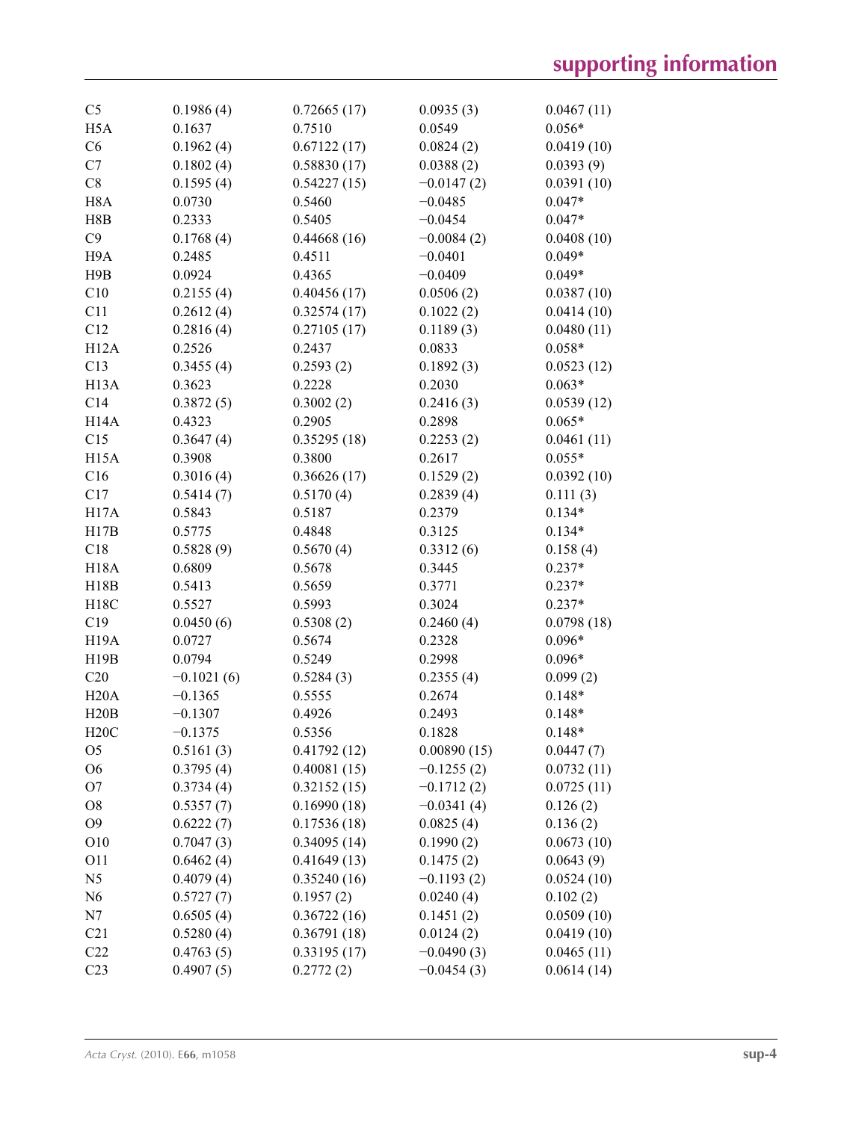| C <sub>5</sub>    | 0.1986(4)    | 0.72665(17) | 0.0935(3)    | 0.0467(11) |
|-------------------|--------------|-------------|--------------|------------|
| H <sub>5</sub> A  | 0.1637       | 0.7510      | 0.0549       | $0.056*$   |
| C6                | 0.1962(4)    | 0.67122(17) | 0.0824(2)    | 0.0419(10) |
| C7                | 0.1802(4)    | 0.58830(17) | 0.0388(2)    | 0.0393(9)  |
| C8                | 0.1595(4)    | 0.54227(15) | $-0.0147(2)$ | 0.0391(10) |
| H <sub>8</sub> A  | 0.0730       | 0.5460      | $-0.0485$    | $0.047*$   |
| H8B               | 0.2333       | 0.5405      | $-0.0454$    | $0.047*$   |
| C9                | 0.1768(4)    | 0.44668(16) | $-0.0084(2)$ | 0.0408(10) |
| H <sub>9</sub> A  | 0.2485       | 0.4511      | $-0.0401$    | $0.049*$   |
| H9B               | 0.0924       | 0.4365      | $-0.0409$    | $0.049*$   |
| C10               | 0.2155(4)    | 0.40456(17) | 0.0506(2)    | 0.0387(10) |
| C11               | 0.2612(4)    | 0.32574(17) | 0.1022(2)    | 0.0414(10) |
| C12               | 0.2816(4)    | 0.27105(17) | 0.1189(3)    | 0.0480(11) |
| H12A              | 0.2526       | 0.2437      | 0.0833       | $0.058*$   |
| C13               | 0.3455(4)    | 0.2593(2)   | 0.1892(3)    | 0.0523(12) |
| H <sub>13</sub> A | 0.3623       | 0.2228      | 0.2030       | $0.063*$   |
| C14               | 0.3872(5)    | 0.3002(2)   | 0.2416(3)    | 0.0539(12) |
| H <sub>14</sub> A | 0.4323       | 0.2905      | 0.2898       | $0.065*$   |
| C15               | 0.3647(4)    | 0.35295(18) | 0.2253(2)    | 0.0461(11) |
| H <sub>15</sub> A | 0.3908       | 0.3800      | 0.2617       | $0.055*$   |
| C16               | 0.3016(4)    | 0.36626(17) | 0.1529(2)    | 0.0392(10) |
| C17               | 0.5414(7)    | 0.5170(4)   | 0.2839(4)    | 0.111(3)   |
| H17A              | 0.5843       | 0.5187      | 0.2379       | $0.134*$   |
| H17B              | 0.5775       | 0.4848      | 0.3125       | $0.134*$   |
| C18               | 0.5828(9)    | 0.5670(4)   | 0.3312(6)    | 0.158(4)   |
| <b>H18A</b>       | 0.6809       | 0.5678      | 0.3445       | $0.237*$   |
| H18B              | 0.5413       | 0.5659      | 0.3771       | $0.237*$   |
| H18C              | 0.5527       | 0.5993      | 0.3024       | $0.237*$   |
| C19               | 0.0450(6)    | 0.5308(2)   | 0.2460(4)    | 0.0798(18) |
| H <sub>19</sub> A | 0.0727       | 0.5674      | 0.2328       | $0.096*$   |
| H19B              | 0.0794       | 0.5249      | 0.2998       | $0.096*$   |
| C20               | $-0.1021(6)$ | 0.5284(3)   | 0.2355(4)    | 0.099(2)   |
| H20A              | $-0.1365$    | 0.5555      | 0.2674       | $0.148*$   |
| H20B              | $-0.1307$    | 0.4926      | 0.2493       | $0.148*$   |
| H20C              |              | 0.5356      | 0.1828       |            |
|                   | $-0.1375$    |             |              | $0.148*$   |
| O <sub>5</sub>    | 0.5161(3)    | 0.41792(12) | 0.00890(15)  | 0.0447(7)  |
| O <sub>6</sub>    | 0.3795(4)    | 0.40081(15) | $-0.1255(2)$ | 0.0732(11) |
| O <sub>7</sub>    | 0.3734(4)    | 0.32152(15) | $-0.1712(2)$ | 0.0725(11) |
| O <sub>8</sub>    | 0.5357(7)    | 0.16990(18) | $-0.0341(4)$ | 0.126(2)   |
| O <sub>9</sub>    | 0.6222(7)    | 0.17536(18) | 0.0825(4)    | 0.136(2)   |
| O10               | 0.7047(3)    | 0.34095(14) | 0.1990(2)    | 0.0673(10) |
| O11               | 0.6462(4)    | 0.41649(13) | 0.1475(2)    | 0.0643(9)  |
| N <sub>5</sub>    | 0.4079(4)    | 0.35240(16) | $-0.1193(2)$ | 0.0524(10) |
| N <sub>6</sub>    | 0.5727(7)    | 0.1957(2)   | 0.0240(4)    | 0.102(2)   |
| N7                | 0.6505(4)    | 0.36722(16) | 0.1451(2)    | 0.0509(10) |
| C <sub>21</sub>   | 0.5280(4)    | 0.36791(18) | 0.0124(2)    | 0.0419(10) |
| C22               | 0.4763(5)    | 0.33195(17) | $-0.0490(3)$ | 0.0465(11) |
| C <sub>23</sub>   | 0.4907(5)    | 0.2772(2)   | $-0.0454(3)$ | 0.0614(14) |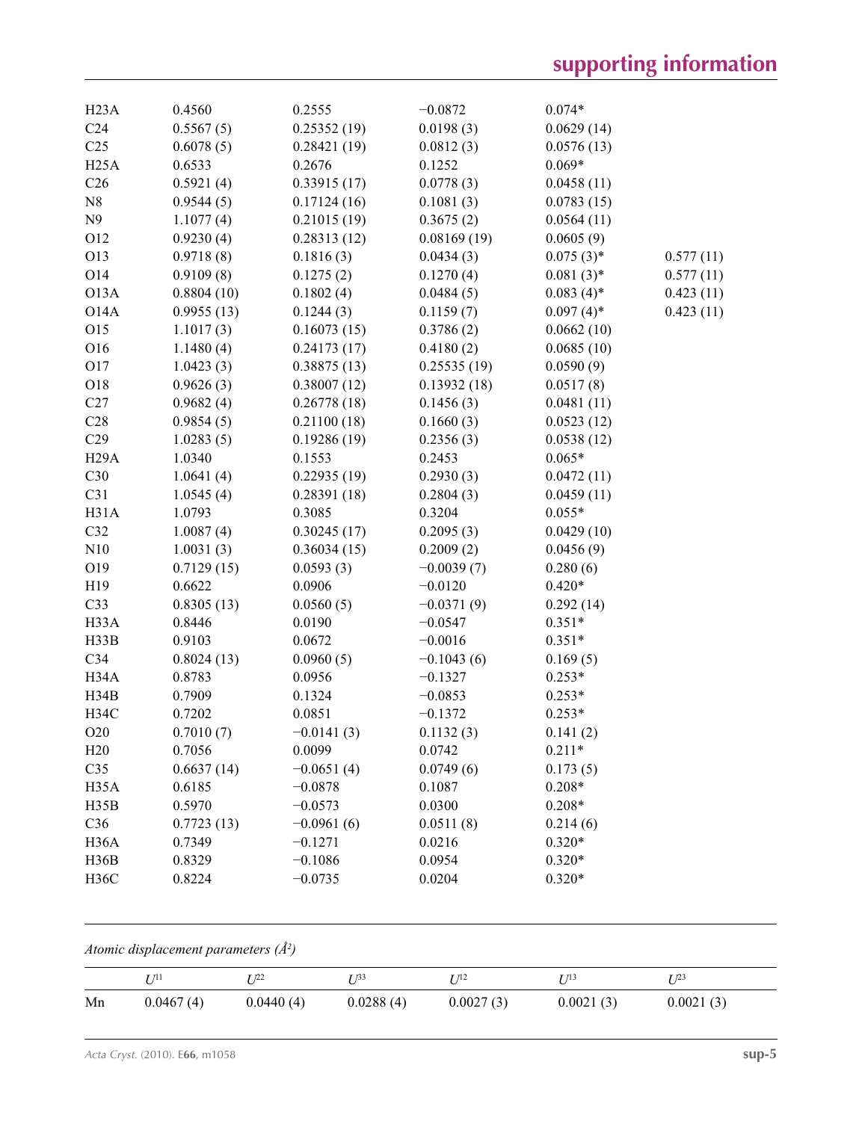| H23A              | 0.4560     | 0.2555       | $-0.0872$    | $0.074*$     |           |
|-------------------|------------|--------------|--------------|--------------|-----------|
| C <sub>24</sub>   | 0.5567(5)  | 0.25352(19)  | 0.0198(3)    | 0.0629(14)   |           |
| C <sub>25</sub>   | 0.6078(5)  | 0.28421(19)  | 0.0812(3)    | 0.0576(13)   |           |
| H <sub>25</sub> A | 0.6533     | 0.2676       | 0.1252       | $0.069*$     |           |
| C <sub>26</sub>   | 0.5921(4)  | 0.33915(17)  | 0.0778(3)    | 0.0458(11)   |           |
| N8                | 0.9544(5)  | 0.17124(16)  | 0.1081(3)    | 0.0783(15)   |           |
| N9                | 1.1077(4)  | 0.21015(19)  | 0.3675(2)    | 0.0564(11)   |           |
| O12               | 0.9230(4)  | 0.28313(12)  | 0.08169(19)  | 0.0605(9)    |           |
| O13               | 0.9718(8)  | 0.1816(3)    | 0.0434(3)    | $0.075(3)$ * | 0.577(11) |
| O14               | 0.9109(8)  | 0.1275(2)    | 0.1270(4)    | $0.081(3)*$  | 0.577(11) |
| O13A              | 0.8804(10) | 0.1802(4)    | 0.0484(5)    | $0.083(4)$ * | 0.423(11) |
| O14A              | 0.9955(13) | 0.1244(3)    | 0.1159(7)    | $0.097(4)$ * | 0.423(11) |
| O15               | 1.1017(3)  | 0.16073(15)  | 0.3786(2)    | 0.0662(10)   |           |
| O16               | 1.1480(4)  | 0.24173(17)  | 0.4180(2)    | 0.0685(10)   |           |
| O17               | 1.0423(3)  | 0.38875(13)  | 0.25535(19)  | 0.0590(9)    |           |
| O18               | 0.9626(3)  | 0.38007(12)  | 0.13932(18)  | 0.0517(8)    |           |
| C27               | 0.9682(4)  | 0.26778(18)  | 0.1456(3)    | 0.0481(11)   |           |
| C28               | 0.9854(5)  | 0.21100(18)  | 0.1660(3)    | 0.0523(12)   |           |
| C29               | 1.0283(5)  | 0.19286(19)  | 0.2356(3)    | 0.0538(12)   |           |
| H <sub>29</sub> A | 1.0340     | 0.1553       | 0.2453       | $0.065*$     |           |
| C30               | 1.0641(4)  | 0.22935(19)  | 0.2930(3)    | 0.0472(11)   |           |
| C31               | 1.0545(4)  | 0.28391(18)  | 0.2804(3)    | 0.0459(11)   |           |
| H31A              | 1.0793     | 0.3085       | 0.3204       | $0.055*$     |           |
| C32               | 1.0087(4)  | 0.30245(17)  | 0.2095(3)    | 0.0429(10)   |           |
| N10               | 1.0031(3)  | 0.36034(15)  | 0.2009(2)    | 0.0456(9)    |           |
| O19               | 0.7129(15) | 0.0593(3)    | $-0.0039(7)$ | 0.280(6)     |           |
| H19               | 0.6622     | 0.0906       | $-0.0120$    | $0.420*$     |           |
| C33               | 0.8305(13) | 0.0560(5)    | $-0.0371(9)$ | 0.292(14)    |           |
| H33A              | 0.8446     | 0.0190       | $-0.0547$    | $0.351*$     |           |
| H33B              | 0.9103     | 0.0672       | $-0.0016$    | $0.351*$     |           |
| C <sub>34</sub>   | 0.8024(13) | 0.0960(5)    | $-0.1043(6)$ | 0.169(5)     |           |
| H34A              | 0.8783     | 0.0956       | $-0.1327$    | $0.253*$     |           |
| H34B              | 0.7909     | 0.1324       | $-0.0853$    | $0.253*$     |           |
| H34C              | 0.7202     | 0.0851       | $-0.1372$    | $0.253*$     |           |
| O20               | 0.7010(7)  | $-0.0141(3)$ | 0.1132(3)    | 0.141(2)     |           |
| H20               | 0.7056     | 0.0099       | 0.0742       | $0.211*$     |           |
| C35               | 0.6637(14) | $-0.0651(4)$ | 0.0749(6)    | 0.173(5)     |           |
| H <sub>35</sub> A | 0.6185     | $-0.0878$    | 0.1087       | $0.208*$     |           |
| H35B              | 0.5970     | $-0.0573$    | 0.0300       | $0.208*$     |           |
| C36               | 0.7723(13) | $-0.0961(6)$ | 0.0511(8)    | 0.214(6)     |           |
| H <sub>36</sub> A | 0.7349     | $-0.1271$    | 0.0216       | $0.320*$     |           |
| H36B              | 0.8329     | $-0.1086$    | 0.0954       | $0.320*$     |           |
| <b>H36C</b>       | 0.8224     | $-0.0735$    | 0.0204       | $0.320*$     |           |

*Atomic displacement parameters (Å2 )*

|    | T/11      | r 122     | T 133     | 1 112     | 7 71 3    | T 123     |
|----|-----------|-----------|-----------|-----------|-----------|-----------|
| Mn | 0.0467(4) | 0.0440(4) | 0.0288(4) | 0.0027(3) | 0.0021(3) | 0.0021(3) |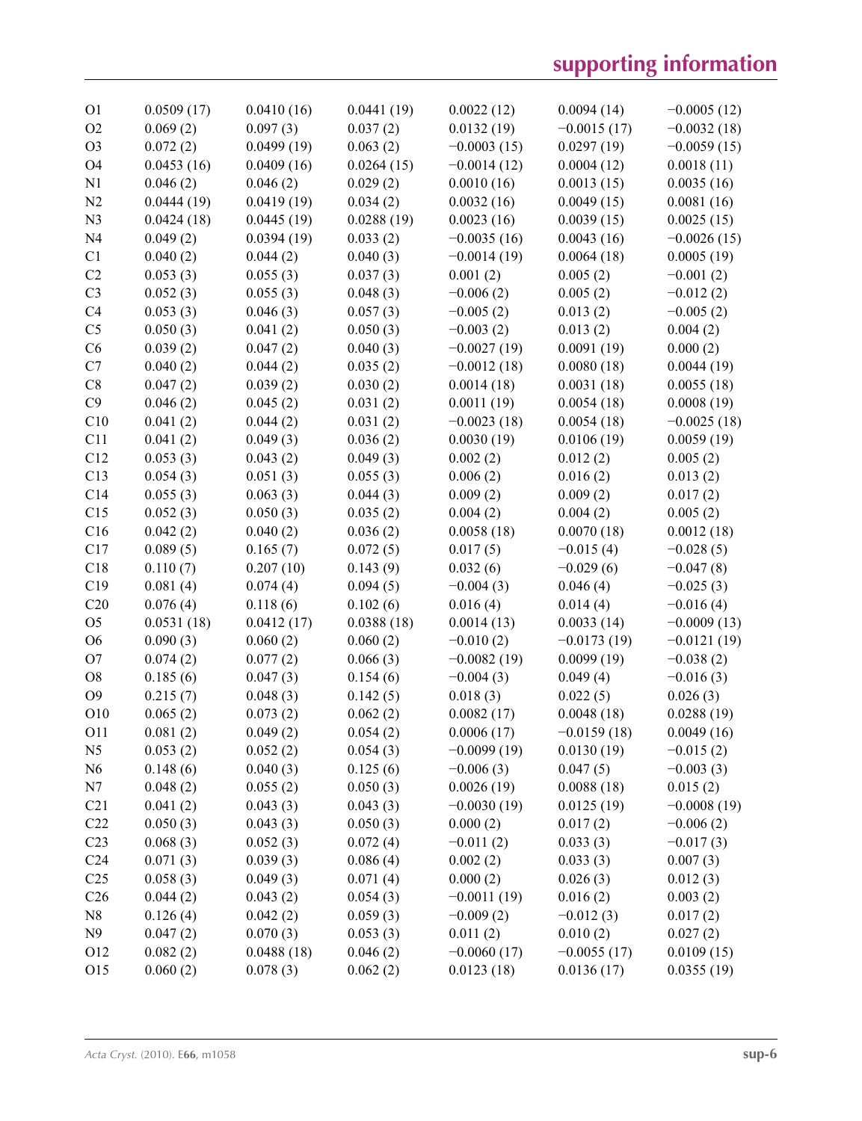| O <sub>1</sub>  | 0.0509(17) | 0.0410(16) | 0.0441(19) | 0.0022(12)    | 0.0094(14)    | $-0.0005(12)$ |
|-----------------|------------|------------|------------|---------------|---------------|---------------|
| O2              | 0.069(2)   | 0.097(3)   | 0.037(2)   | 0.0132(19)    | $-0.0015(17)$ | $-0.0032(18)$ |
| O <sub>3</sub>  | 0.072(2)   | 0.0499(19) | 0.063(2)   | $-0.0003(15)$ | 0.0297(19)    | $-0.0059(15)$ |
| O4              | 0.0453(16) | 0.0409(16) | 0.0264(15) | $-0.0014(12)$ | 0.0004(12)    | 0.0018(11)    |
| N1              | 0.046(2)   | 0.046(2)   | 0.029(2)   | 0.0010(16)    | 0.0013(15)    | 0.0035(16)    |
| N <sub>2</sub>  | 0.0444(19) | 0.0419(19) | 0.034(2)   | 0.0032(16)    | 0.0049(15)    | 0.0081(16)    |
| N <sub>3</sub>  | 0.0424(18) | 0.0445(19) | 0.0288(19) | 0.0023(16)    | 0.0039(15)    | 0.0025(15)    |
| N <sub>4</sub>  | 0.049(2)   | 0.0394(19) | 0.033(2)   | $-0.0035(16)$ | 0.0043(16)    | $-0.0026(15)$ |
| C1              | 0.040(2)   | 0.044(2)   | 0.040(3)   | $-0.0014(19)$ | 0.0064(18)    | 0.0005(19)    |
| C2              | 0.053(3)   | 0.055(3)   | 0.037(3)   | 0.001(2)      | 0.005(2)      | $-0.001(2)$   |
| C <sub>3</sub>  | 0.052(3)   | 0.055(3)   | 0.048(3)   | $-0.006(2)$   | 0.005(2)      | $-0.012(2)$   |
| C4              | 0.053(3)   | 0.046(3)   | 0.057(3)   | $-0.005(2)$   | 0.013(2)      | $-0.005(2)$   |
| C <sub>5</sub>  | 0.050(3)   | 0.041(2)   | 0.050(3)   | $-0.003(2)$   | 0.013(2)      | 0.004(2)      |
| C6              | 0.039(2)   | 0.047(2)   | 0.040(3)   | $-0.0027(19)$ | 0.0091(19)    | 0.000(2)      |
| C7              | 0.040(2)   | 0.044(2)   | 0.035(2)   | $-0.0012(18)$ | 0.0080(18)    | 0.0044(19)    |
| C8              | 0.047(2)   | 0.039(2)   | 0.030(2)   | 0.0014(18)    | 0.0031(18)    | 0.0055(18)    |
| C9              | 0.046(2)   | 0.045(2)   | 0.031(2)   | 0.0011(19)    | 0.0054(18)    | 0.0008(19)    |
| C10             | 0.041(2)   | 0.044(2)   | 0.031(2)   | $-0.0023(18)$ | 0.0054(18)    | $-0.0025(18)$ |
| C11             | 0.041(2)   | 0.049(3)   | 0.036(2)   | 0.0030(19)    | 0.0106(19)    | 0.0059(19)    |
| C12             | 0.053(3)   | 0.043(2)   | 0.049(3)   | 0.002(2)      | 0.012(2)      | 0.005(2)      |
| C13             | 0.054(3)   | 0.051(3)   | 0.055(3)   | 0.006(2)      | 0.016(2)      | 0.013(2)      |
| C14             | 0.055(3)   | 0.063(3)   | 0.044(3)   | 0.009(2)      | 0.009(2)      | 0.017(2)      |
| C15             | 0.052(3)   | 0.050(3)   | 0.035(2)   | 0.004(2)      | 0.004(2)      | 0.005(2)      |
| C16             |            |            |            |               |               |               |
|                 | 0.042(2)   | 0.040(2)   | 0.036(2)   | 0.0058(18)    | 0.0070(18)    | 0.0012(18)    |
| C17             | 0.089(5)   | 0.165(7)   | 0.072(5)   | 0.017(5)      | $-0.015(4)$   | $-0.028(5)$   |
| C18             | 0.110(7)   | 0.207(10)  | 0.143(9)   | 0.032(6)      | $-0.029(6)$   | $-0.047(8)$   |
| C19             | 0.081(4)   | 0.074(4)   | 0.094(5)   | $-0.004(3)$   | 0.046(4)      | $-0.025(3)$   |
| C20             | 0.076(4)   | 0.118(6)   | 0.102(6)   | 0.016(4)      | 0.014(4)      | $-0.016(4)$   |
| O <sub>5</sub>  | 0.0531(18) | 0.0412(17) | 0.0388(18) | 0.0014(13)    | 0.0033(14)    | $-0.0009(13)$ |
| O <sub>6</sub>  | 0.090(3)   | 0.060(2)   | 0.060(2)   | $-0.010(2)$   | $-0.0173(19)$ | $-0.0121(19)$ |
| O <sub>7</sub>  | 0.074(2)   | 0.077(2)   | 0.066(3)   | $-0.0082(19)$ | 0.0099(19)    | $-0.038(2)$   |
| O <sub>8</sub>  | 0.185(6)   | 0.047(3)   | 0.154(6)   | $-0.004(3)$   | 0.049(4)      | $-0.016(3)$   |
| O <sub>9</sub>  | 0.215(7)   | 0.048(3)   | 0.142(5)   | 0.018(3)      | 0.022(5)      | 0.026(3)      |
| O10             | 0.065(2)   | 0.073(2)   | 0.062(2)   | 0.0082(17)    | 0.0048(18)    | 0.0288(19)    |
| O11             | 0.081(2)   | 0.049(2)   | 0.054(2)   | 0.0006(17)    | $-0.0159(18)$ | 0.0049(16)    |
| N <sub>5</sub>  | 0.053(2)   | 0.052(2)   | 0.054(3)   | $-0.0099(19)$ | 0.0130(19)    | $-0.015(2)$   |
| N <sub>6</sub>  | 0.148(6)   | 0.040(3)   | 0.125(6)   | $-0.006(3)$   | 0.047(5)      | $-0.003(3)$   |
| N7              | 0.048(2)   | 0.055(2)   | 0.050(3)   | 0.0026(19)    | 0.0088(18)    | 0.015(2)      |
| C21             | 0.041(2)   | 0.043(3)   | 0.043(3)   | $-0.0030(19)$ | 0.0125(19)    | $-0.0008(19)$ |
| C22             | 0.050(3)   | 0.043(3)   | 0.050(3)   | 0.000(2)      | 0.017(2)      | $-0.006(2)$   |
| C <sub>23</sub> | 0.068(3)   | 0.052(3)   | 0.072(4)   | $-0.011(2)$   | 0.033(3)      | $-0.017(3)$   |
| C <sub>24</sub> | 0.071(3)   | 0.039(3)   | 0.086(4)   | 0.002(2)      | 0.033(3)      | 0.007(3)      |
| C <sub>25</sub> | 0.058(3)   | 0.049(3)   | 0.071(4)   | 0.000(2)      | 0.026(3)      | 0.012(3)      |
| C <sub>26</sub> | 0.044(2)   | 0.043(2)   | 0.054(3)   | $-0.0011(19)$ | 0.016(2)      | 0.003(2)      |
| N8              | 0.126(4)   | 0.042(2)   | 0.059(3)   | $-0.009(2)$   | $-0.012(3)$   | 0.017(2)      |
| N <sub>9</sub>  | 0.047(2)   | 0.070(3)   | 0.053(3)   | 0.011(2)      | 0.010(2)      | 0.027(2)      |
| O12             | 0.082(2)   | 0.0488(18) | 0.046(2)   | $-0.0060(17)$ | $-0.0055(17)$ | 0.0109(15)    |
| O15             | 0.060(2)   | 0.078(3)   | 0.062(2)   | 0.0123(18)    | 0.0136(17)    | 0.0355(19)    |
|                 |            |            |            |               |               |               |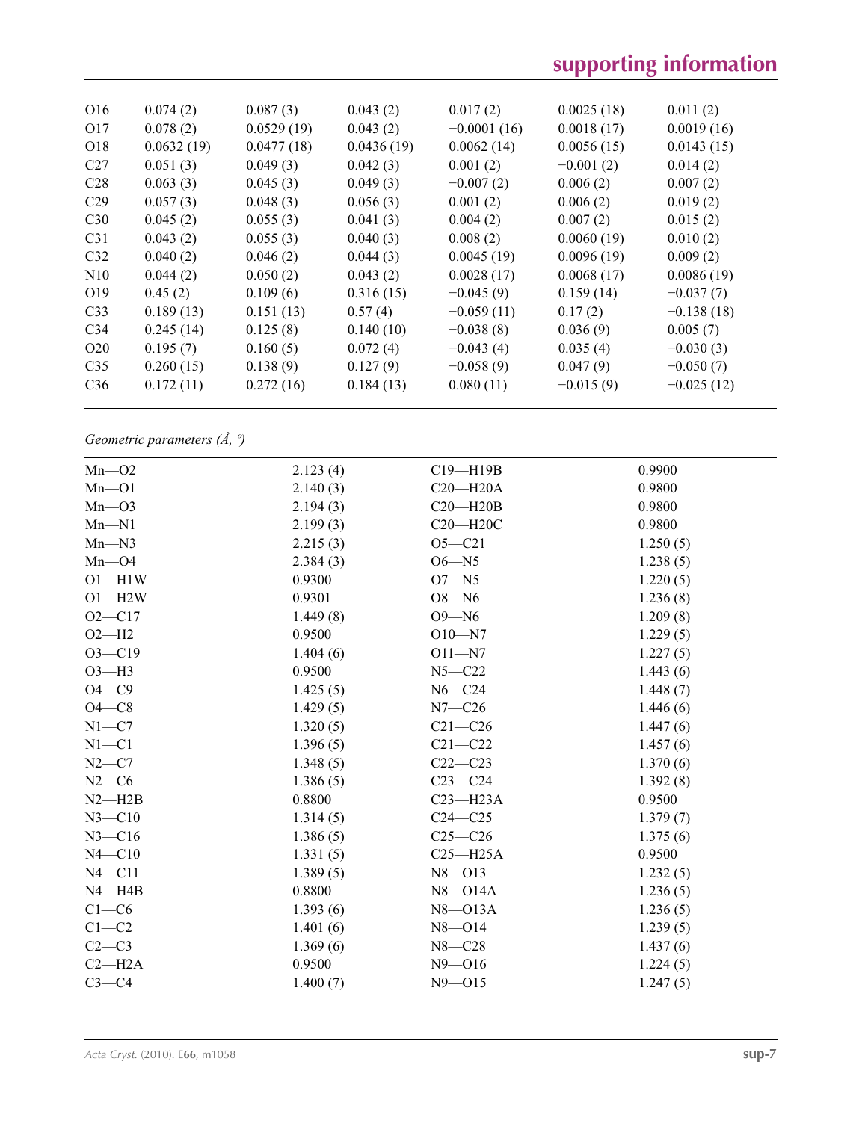| O <sub>16</sub> | 0.074(2)   | 0.087(3)   | 0.043(2)   | 0.017(2)      | 0.0025(18)  | 0.011(2)     |
|-----------------|------------|------------|------------|---------------|-------------|--------------|
| O17             | 0.078(2)   | 0.0529(19) | 0.043(2)   | $-0.0001(16)$ | 0.0018(17)  | 0.0019(16)   |
| O <sub>18</sub> | 0.0632(19) | 0.0477(18) | 0.0436(19) | 0.0062(14)    | 0.0056(15)  | 0.0143(15)   |
| C <sub>27</sub> | 0.051(3)   | 0.049(3)   | 0.042(3)   | 0.001(2)      | $-0.001(2)$ | 0.014(2)     |
| C <sub>28</sub> | 0.063(3)   | 0.045(3)   | 0.049(3)   | $-0.007(2)$   | 0.006(2)    | 0.007(2)     |
| C <sub>29</sub> | 0.057(3)   | 0.048(3)   | 0.056(3)   | 0.001(2)      | 0.006(2)    | 0.019(2)     |
| C <sub>30</sub> | 0.045(2)   | 0.055(3)   | 0.041(3)   | 0.004(2)      | 0.007(2)    | 0.015(2)     |
| C <sub>31</sub> | 0.043(2)   | 0.055(3)   | 0.040(3)   | 0.008(2)      | 0.0060(19)  | 0.010(2)     |
| C <sub>32</sub> | 0.040(2)   | 0.046(2)   | 0.044(3)   | 0.0045(19)    | 0.0096(19)  | 0.009(2)     |
| N10             | 0.044(2)   | 0.050(2)   | 0.043(2)   | 0.0028(17)    | 0.0068(17)  | 0.0086(19)   |
| O <sub>19</sub> | 0.45(2)    | 0.109(6)   | 0.316(15)  | $-0.045(9)$   | 0.159(14)   | $-0.037(7)$  |
| C <sub>33</sub> | 0.189(13)  | 0.151(13)  | 0.57(4)    | $-0.059(11)$  | 0.17(2)     | $-0.138(18)$ |
| C <sub>34</sub> | 0.245(14)  | 0.125(8)   | 0.140(10)  | $-0.038(8)$   | 0.036(9)    | 0.005(7)     |
| O <sub>20</sub> | 0.195(7)   | 0.160(5)   | 0.072(4)   | $-0.043(4)$   | 0.035(4)    | $-0.030(3)$  |
| C <sub>35</sub> | 0.260(15)  | 0.138(9)   | 0.127(9)   | $-0.058(9)$   | 0.047(9)    | $-0.050(7)$  |
| C36             | 0.172(11)  | 0.272(16)  | 0.184(13)  | 0.080(11)     | $-0.015(9)$ | $-0.025(12)$ |
|                 |            |            |            |               |             |              |

*Geometric parameters (Å, º)*

| $Mn$ - $O2$ | 2.123(4) | C19-H19B     | 0.9900   |
|-------------|----------|--------------|----------|
| $Mn$ - $O1$ | 2.140(3) | $C20 - H20A$ | 0.9800   |
| $Mn$ – $O3$ | 2.194(3) | $C20 - H20B$ | 0.9800   |
| $Mn-N1$     | 2.199(3) | C20-H20C     | 0.9800   |
| $Mn-N3$     | 2.215(3) | $O5 - C21$   | 1.250(5) |
| $Mn$ - $O4$ | 2.384(3) | $O6 - N5$    | 1.238(5) |
| $O1 - H1W$  | 0.9300   | $O7 - N5$    | 1.220(5) |
| $O1 - H2W$  | 0.9301   | $O8 - N6$    | 1.236(8) |
| $O2 - C17$  | 1.449(8) | $O9 - N6$    | 1.209(8) |
| $O2-H2$     | 0.9500   | $O10 - N7$   | 1.229(5) |
| $O3 - C19$  | 1.404(6) | $O11 - N7$   | 1.227(5) |
| $O3-H3$     | 0.9500   | $N5 - C22$   | 1.443(6) |
| $O4 - C9$   | 1.425(5) | $N6 - C24$   | 1.448(7) |
| $O4 - C8$   | 1.429(5) | $N7-C26$     | 1.446(6) |
| $N1 - C7$   | 1.320(5) | $C21 - C26$  | 1.447(6) |
| $N1 - C1$   | 1.396(5) | $C21 - C22$  | 1.457(6) |
| $N2-C7$     | 1.348(5) | $C22-C23$    | 1.370(6) |
| $N2-C6$     | 1.386(5) | $C23-C24$    | 1.392(8) |
| $N2 - H2B$  | 0.8800   | $C23 - H23A$ | 0.9500   |
| $N3 - C10$  | 1.314(5) | $C24 - C25$  | 1.379(7) |
| $N3 - C16$  | 1.386(5) | $C25-C26$    | 1.375(6) |
| $N4 - C10$  | 1.331(5) | $C25 - H25A$ | 0.9500   |
| $N4 - C11$  | 1.389(5) | $N8 - 013$   | 1.232(5) |
| $N4 - H4B$  | 0.8800   | $N8 - 014A$  | 1.236(5) |
| $C1-C6$     | 1.393(6) | $N8 - 013A$  | 1.236(5) |
| $C1-C2$     | 1.401(6) | $N8 - 014$   | 1.239(5) |
| $C2-C3$     | 1.369(6) | $N8 - C28$   | 1.437(6) |
| $C2 - H2A$  | 0.9500   | $N9 - 016$   | 1.224(5) |
| $C3-C4$     | 1.400(7) | $N9 - 015$   | 1.247(5) |
|             |          |              |          |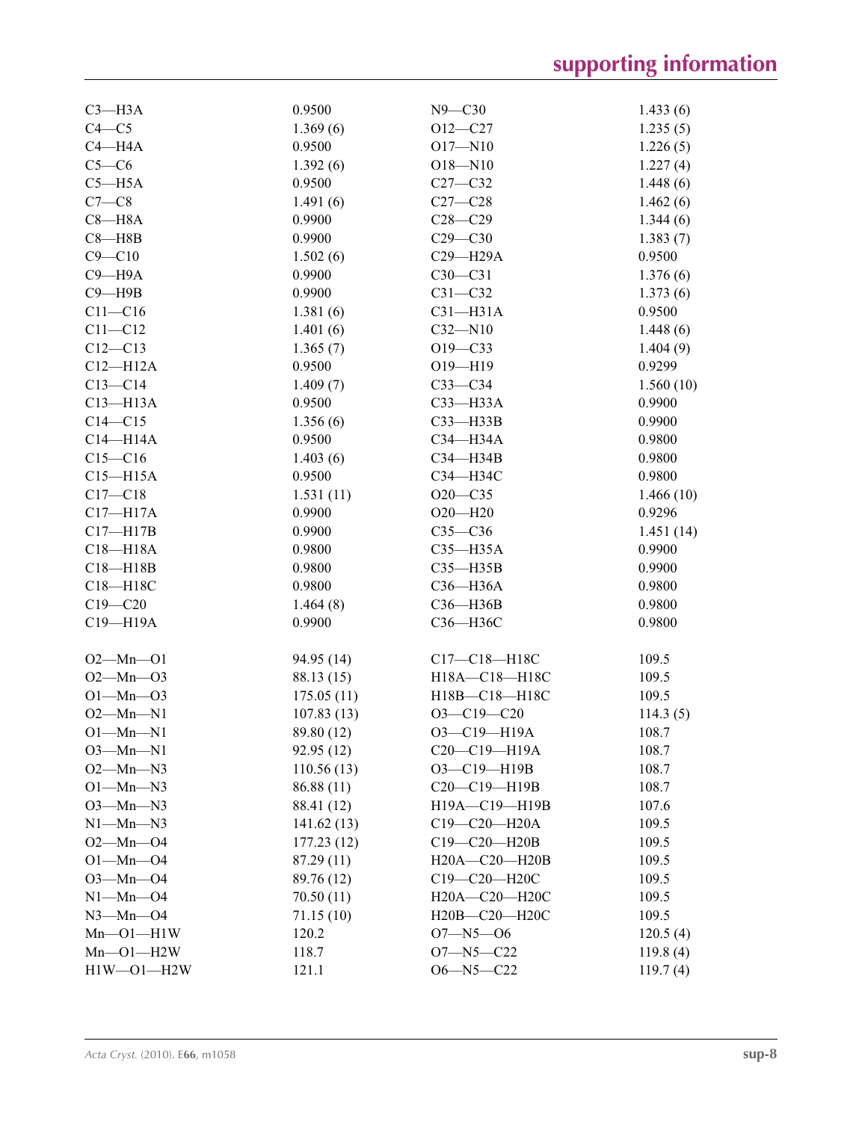| $C3$ —H3A           | 0.9500     | $N9 - C30$          | 1.433(6)            |
|---------------------|------------|---------------------|---------------------|
| $C4 - C5$           | 1.369(6)   | $O12 - C27$         | 1.235(5)            |
| $C4 - H4A$          | 0.9500     | $O17 - N10$         | 1.226(5)            |
| $C5-C6$             | 1.392(6)   | $O18 - N10$         | 1.227(4)            |
| $C5 - H5A$          | 0.9500     | $C27 - C32$         | 1.448(6)            |
| $C7-C8$             | 1.491(6)   | $C27-C28$           | 1.462(6)            |
| $C8 - H8A$          | 0.9900     | $C28 - C29$         | 1.344(6)            |
| $C8 - H8B$          | 0.9900     | $C29 - C30$         | 1.383(7)            |
| $C9 - C10$          | 1.502(6)   | C29-H29A            | 0.9500              |
| $C9 - H9A$          | 0.9900     | $C30-C31$           | 1.376(6)            |
| $C9 - H9B$          | 0.9900     | $C31 - C32$         | 1.373(6)            |
| $C11 - C16$         | 1.381(6)   | $C31 - H31A$        | 0.9500              |
| $C11 - C12$         | 1.401(6)   | $C32 - N10$         | 1.448(6)            |
| $C12 - C13$         | 1.365(7)   | $O19 - C33$         | 1.404(9)            |
| $C12 - H12A$        | 0.9500     | $O19 - H19$         | 0.9299              |
| $C13-C14$           | 1.409(7)   | $C33-C34$           | 1.560(10)           |
| $C13 - H13A$        | 0.9500     | C33-H33A            | 0.9900              |
| $C14 - C15$         | 1.356(6)   | $C33 - H33B$        | 0.9900              |
| $C14 - H14A$        | 0.9500     | C34-H34A            | 0.9800              |
| $C15-C16$           | 1.403(6)   | $C34 - H34B$        | 0.9800              |
| $C15 - H15A$        | 0.9500     | СЗ4-НЗ4С            | 0.9800              |
| $C17 - C18$         | 1.531(11)  | $O20 - C35$         |                     |
| $C17 - H17A$        | 0.9900     | $O20 - H20$         | 1.466(10)<br>0.9296 |
|                     |            |                     |                     |
| $C17 - H17B$        | 0.9900     | $C35-C36$           | 1.451(14)           |
| $C18 - H18A$        | 0.9800     | $C35 - H35A$        | 0.9900              |
| $C18 - H18B$        | 0.9800     | $C35 - H35B$        | 0.9900              |
| C18-H18C            | 0.9800     | C36-H36A            | 0.9800              |
| $C19 - C20$         | 1.464(8)   | C36-H36B            | 0.9800              |
| C19-H19A            | 0.9900     | C36-H36C            | 0.9800              |
| $O2 - Mn - O1$      | 94.95 (14) | C17-C18-H18C        | 109.5               |
| $O2 - Mn - O3$      | 88.13 (15) | H18A-C18-H18C       | 109.5               |
| $O1 - Mn - O3$      | 175.05(11) | H18B-C18-H18C       | 109.5               |
| $O2 - Mn - N1$      | 107.83(13) | $O3-C19-C20$        | 114.3(5)            |
| $O1 - Mn - N1$      | 89.80 (12) | O3-C19-H19A         | 108.7               |
| $O3-Mn-N1$          | 92.95 (12) | $C20-C19-H19A$      | 108.7               |
| $O2 - Mn - N3$      | 110.56(13) | O3-C19-H19B         | 108.7               |
| $O1-Mn-N3$          | 86.88 (11) | C20-C19-H19B        | 108.7               |
| $O3-Mn-N3$          | 88.41 (12) | H19A-C19-H19B       | 107.6               |
| $N1-Mn-N3$          | 141.62(13) | $C19 - C20 - H20A$  | 109.5               |
| $O2 - Mn - O4$      | 177.23(12) | C19-C20-H20B        | 109.5               |
| $O1 - Mn - O4$      | 87.29 (11) | $H20A - C20 - H20B$ | 109.5               |
| $O3 - Mn - O4$      | 89.76 (12) | C19-C20-H20C        | 109.5               |
| $N1 - Mn - O4$      | 70.50 (11) | H20A-C20-H20C       | 109.5               |
| $N3$ — $Mn$ — $O4$  | 71.15 (10) | H20B-C20-H20C       | 109.5               |
| $Mn$ – $O1$ – $H1W$ | 120.2      | $O7 - N5 - O6$      | 120.5(4)            |
| $Mn$ - $O1$ - $H2W$ | 118.7      | $O7 - N5 - C22$     | 119.8(4)            |
| $H1W - O1 - H2W$    | 121.1      | $O6 - N5 - C22$     | 119.7(4)            |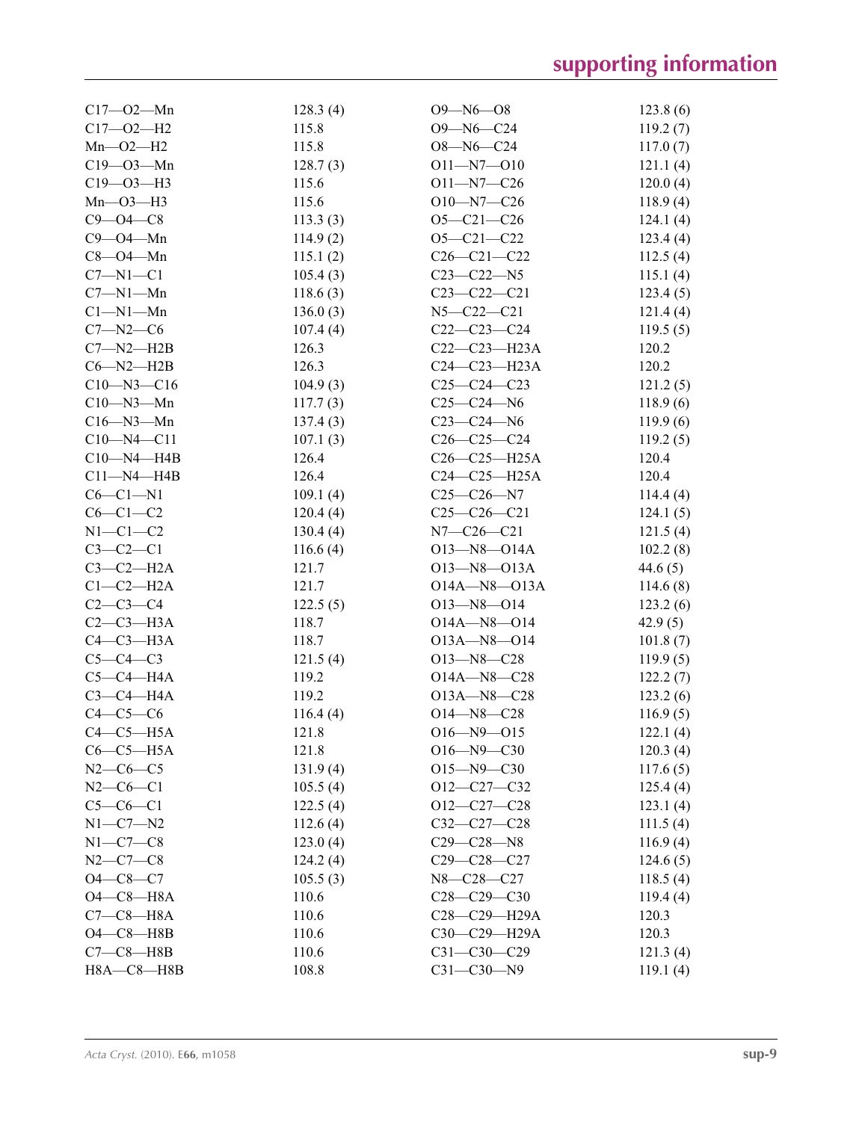| $C17 - 02 - Mn$    | 128.3(4) | $O9 - N6 - O8$     | 123.8(6) |
|--------------------|----------|--------------------|----------|
| $C17 - O2 - H2$    | 115.8    | $O9 - N6 - C24$    | 119.2(7) |
| $Mn - O2 - H2$     | 115.8    | $O8 - N6 - C24$    | 117.0(7) |
| $C19 - 03 - Mn$    | 128.7(3) | $O11 - N7 - O10$   | 121.1(4) |
| $C19 - O3 - H3$    | 115.6    | $O11 - N7 - C26$   | 120.0(4) |
| $Mn$ – $O3$ – $H3$ | 115.6    | $O10 - N7 - C26$   | 118.9(4) |
| $C9 - O4 - C8$     | 113.3(3) | $O5 - C21 - C26$   | 124.1(4) |
| $C9 - O4 - Mn$     | 114.9(2) | $O5 - C21 - C22$   | 123.4(4) |
| $C8 - O4 - Mn$     | 115.1(2) | $C26 - C21 - C22$  | 112.5(4) |
| $C7 - N1 - C1$     | 105.4(3) | $C23 - C22 - N5$   | 115.1(4) |
| $C7 - N1 - Mn$     | 118.6(3) | $C23-C22-C21$      | 123.4(5) |
| $Cl-M1-Mn$         | 136.0(3) | $N5 - C22 - C21$   | 121.4(4) |
| $C7 - N2 - C6$     | 107.4(4) | $C22-C23-C24$      | 119.5(5) |
| $C7 - N2 - H2B$    | 126.3    | $C22-C23-H23A$     | 120.2    |
| $C6 - N2 - H2B$    | 126.3    | $C24 - C23 - H23A$ | 120.2    |
| $C10 - N3 - C16$   | 104.9(3) | $C25-C24-C23$      | 121.2(5) |
| $C10 - N3 - Mn$    | 117.7(3) | $C25-C24-N6$       | 118.9(6) |
| $C16 - N3 - Mn$    | 137.4(3) | $C23-C24-N6$       | 119.9(6) |
| $C10 - N4 - C11$   | 107.1(3) | $C26 - C25 - C24$  | 119.2(5) |
| $C10$ —N4—H4B      | 126.4    | $C26-C25-H25A$     | 120.4    |
| $C11 - N4 - H4B$   | 126.4    | $C24-C25-H25A$     | 120.4    |
| $C6-C1-N1$         | 109.1(4) | $C25-C26-N7$       | 114.4(4) |
| $C6-C1-C2$         | 120.4(4) | $C25-C26-C21$      | 124.1(5) |
| $N1-C1-C2$         | 130.4(4) | $N7 - C26 - C21$   | 121.5(4) |
| $C3-C2-C1$         | 116.6(4) | $O13 - N8 - O14A$  | 102.2(8) |
| $C3-C2-H2A$        | 121.7    | $O13 - N8 - O13A$  | 44.6(5)  |
| $C1-C2-H2A$        | 121.7    | $O14A - N8 - O13A$ | 114.6(8) |
| $C2 - C3 - C4$     | 122.5(5) | $O13 - N8 - O14$   | 123.2(6) |
| $C2-C3-H3A$        | 118.7    | $O14A - N8 - O14$  | 42.9(5)  |
| $C4-C3-H3A$        | 118.7    | $O13A - N8 - O14$  | 101.8(7) |
| $C5-C4-C3$         | 121.5(4) | $O13 - N8 - C28$   | 119.9(5) |
| $C5-C4-H4A$        | 119.2    | $O14A - N8 - C28$  | 122.2(7) |
| $C3-C4-H4A$        | 119.2    | $O13A - N8 - C28$  | 123.2(6) |
| $C4-C5-C6$         | 116.4(4) | $O14 - N8 - C28$   | 116.9(5) |
| $C4-C5-H5A$        | 121.8    | $O16 - N9 - O15$   | 122.1(4) |
| $C6-C5-H5A$        | 121.8    | $O16 - N9 - C30$   | 120.3(4) |
| $N2-C6-C5$         | 131.9(4) | $O15 - N9 - C30$   | 117.6(5) |
| $N2 - C6 - C1$     | 105.5(4) | $O12-C27-C32$      | 125.4(4) |
| $C5-C6-C1$         | 122.5(4) | $O12-C27-C28$      | 123.1(4) |
| $N1 - C7 - N2$     | 112.6(4) | $C32-C27-C28$      | 111.5(4) |
| $N1-C7-C8$         | 123.0(4) | $C29 - C28 - N8$   | 116.9(4) |
| $N2-C7-C8$         | 124.2(4) | $C29 - C28 - C27$  | 124.6(5) |
| $O4 - C8 - C7$     | 105.5(3) | N8-C28-C27         | 118.5(4) |
| $O4-C8 - H8A$      | 110.6    | $C28 - C29 - C30$  | 119.4(4) |
| $C7-C8-H8A$        | 110.6    | C28-C29-H29A       | 120.3    |
| $O4-C8$ -H8B       | 110.6    | C30-C29-H29A       | 120.3    |
| $C7-C8$ -H8B       | 110.6    | $C31 - C30 - C29$  | 121.3(4) |
| $H8A - C8 - H8B$   | 108.8    | $C31 - C30 - N9$   | 119.1(4) |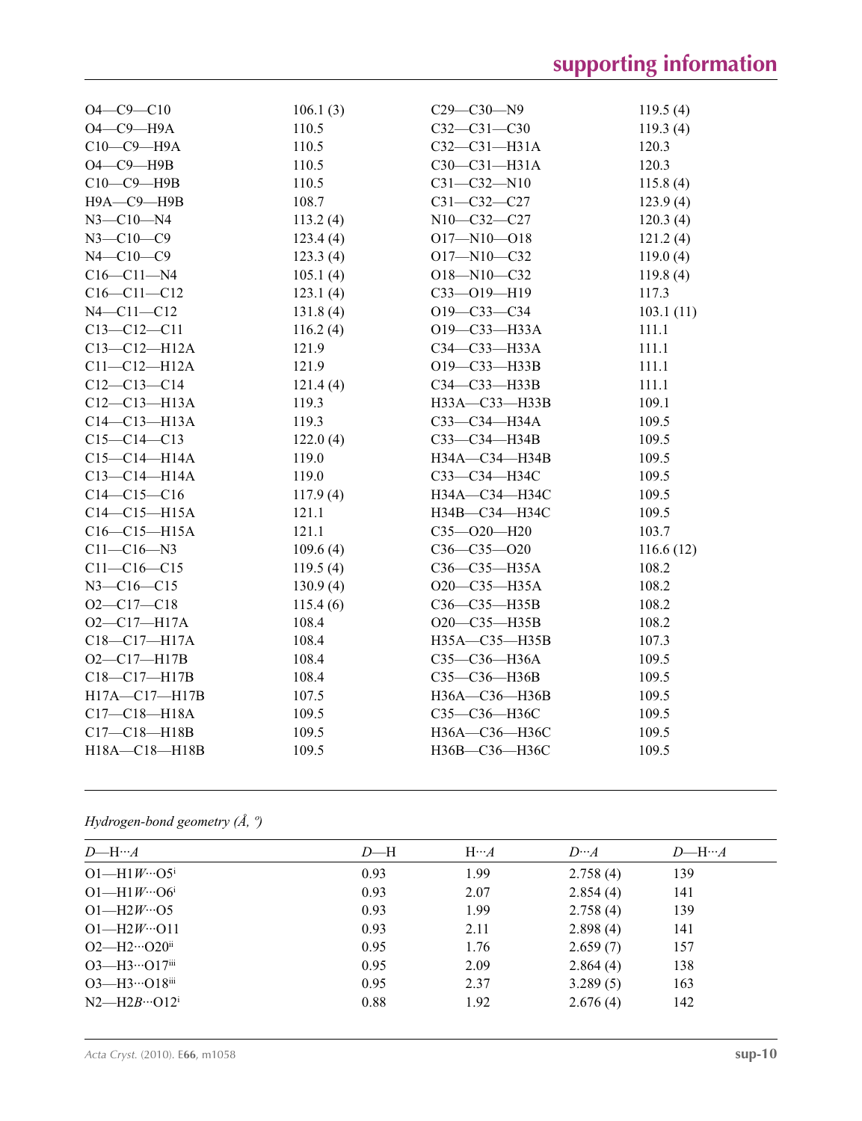| $O4 - C9 - C10$     | 106.1(3) | $C29 - C30 - N9$  | 119.5(4)  |
|---------------------|----------|-------------------|-----------|
| $O4$ — $C9$ — $H9A$ | 110.5    | $C32 - C31 - C30$ | 119.3(4)  |
| С10-С9-Н9А          | 110.5    | $C32-C31-H31A$    | 120.3     |
| $O4$ -C9-H9B        | 110.5    | $C30-C31-H31A$    | 120.3     |
| C10-C9-H9B          | 110.5    | $C31 - C32 - N10$ | 115.8(4)  |
| Н9А-С9-Н9В          | 108.7    | $C31 - C32 - C27$ | 123.9(4)  |
| $N3 - C10 - N4$     | 113.2(4) | N10-C32-C27       | 120.3(4)  |
| $N3 - C10 - C9$     | 123.4(4) | $O17 - N10 - O18$ | 121.2(4)  |
| $N4 - C10 - C9$     | 123.3(4) | O17-N10-C32       | 119.0(4)  |
| $C16 - C11 - N4$    | 105.1(4) | $O18 - N10 - C32$ | 119.8(4)  |
| $C16 - C11 - C12$   | 123.1(4) | $C33 - O19 - H19$ | 117.3     |
| $N4 - C11 - C12$    | 131.8(4) | О19—С33—С34       | 103.1(11) |
| $C13 - C12 - C11$   | 116.2(4) | O19-C33-H33A      | 111.1     |
| $C13 - C12 - H12A$  | 121.9    | $C34-C33-H33A$    | 111.1     |
| $C11 - C12 - H12A$  | 121.9    | O19-C33-H33B      | 111.1     |
| $C12-C13-C14$       | 121.4(4) | C34-C33-H33B      | 111.1     |
| $C12-C13-H13A$      | 119.3    | H33A-C33-H33B     | 109.1     |
| $C14-C13-H13A$      | 119.3    | C33-C34-H34A      | 109.5     |
| $C15-C14-C13$       | 122.0(4) | C33-C34-H34B      | 109.5     |
| $C15-C14-H14A$      | 119.0    | H34A-C34-H34B     | 109.5     |
| $C13 - C14 - H14A$  | 119.0    | СЗЗ—СЗ4—НЗ4С      | 109.5     |
| $C14-C15-C16$       | 117.9(4) | H34A—C34—H34C     | 109.5     |
| $C14 - C15 - H15A$  | 121.1    | H34B-C34-H34C     | 109.5     |
| $C16-C15-H15A$      | 121.1    | $C35 - O20 - H20$ | 103.7     |
| $C11 - C16 - N3$    | 109.6(4) | $C36 - C35 - O20$ | 116.6(12) |
| $C11 - C16 - C15$   | 119.5(4) | $C36-C35-H35A$    | 108.2     |
| $N3 - C16 - C15$    | 130.9(4) | O20-C35-H35A      | 108.2     |
| $O2 - C17 - C18$    | 115.4(6) | C36-C35-H35B      | 108.2     |
| $O2 - C17 - H17A$   | 108.4    | O20-C35-H35B      | 108.2     |
| $C18 - C17 - H17A$  | 108.4    | H35A-C35-H35B     | 107.3     |
| $O2 - C17 - H17B$   | 108.4    | $C35-C36-H36A$    | 109.5     |
| C18-C17-H17B        | 108.4    | C35-C36-H36B      | 109.5     |
| H17A-C17-H17B       | 107.5    | H36A-C36-H36B     | 109.5     |
| $C17 - C18 - H18A$  | 109.5    | СЗ5-СЗ6-НЗ6С      | 109.5     |
| $C17 - C18 - H18B$  | 109.5    | H36A-C36-H36C     | 109.5     |
| H18A-C18-H18B       | 109.5    | НЗ6В-СЗ6-НЗ6С     | 109.5     |
|                     |          |                   |           |

*Hydrogen-bond geometry (Å, º)*

| $D$ —H… $A$                                      | $D - H$ | $H \cdots A$ | $D^{}A$  | $D$ —H… $A$ |
|--------------------------------------------------|---------|--------------|----------|-------------|
| $O1 - H1 W \cdots O5$                            | 0.93    | 1.99         | 2.758(4) | 139         |
| $O1 - H1 W \cdots O6^i$                          | 0.93    | 2.07         | 2.854(4) | 141         |
| $O1 - H2W \cdot O5$                              | 0.93    | 1.99         | 2.758(4) | 139         |
| $O1 - H2W \cdot O11$                             | 0.93    | 2.11         | 2.898(4) | 141         |
| $O2$ —H $2 \cdots O20$ <sup>ii</sup>             | 0.95    | 1.76         | 2.659(7) | 157         |
| $O3$ —H $3 \cdot \cdot \cdot O17$ <sup>iii</sup> | 0.95    | 2.09         | 2.864(4) | 138         |
| $O3$ —H $3 \cdot O18$ <sup>iii</sup>             | 0.95    | 2.37         | 3.289(5) | 163         |
| $N2-H2B \cdots Q12^{i}$                          | 0.88    | 1.92         | 2.676(4) | 142         |
|                                                  |         |              |          |             |